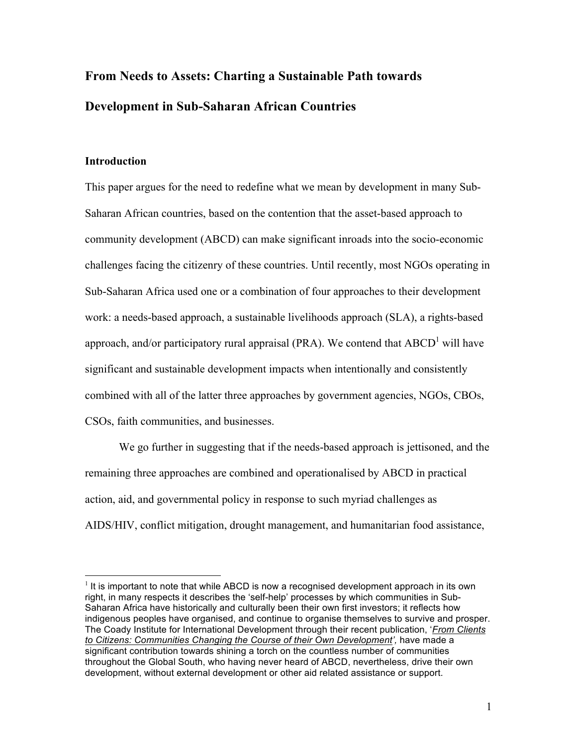# From Needs to Assets: Charting a Sustainable Path towards Development in Sub-Saharan African Countries

## Introduction

This paper argues for the need to redefine what we mean by development in many Sub-Saharan African countries, based on the contention that the asset-based approach to community development (ABCD) can make significant inroads into the socio-economic challenges facing the citizenry of these countries. Until recently, most NGOs operating in Sub-Saharan Africa used one or a combination of four approaches to their development work: a needs-based approach, a sustainable livelihoods approach (SLA), a rights-based approach, and/or participatory rural appraisal (PRA). We contend that  $ABCD<sup>1</sup>$  will have significant and sustainable development impacts when intentionally and consistently combined with all of the latter three approaches by government agencies, NGOs, CBOs, CSOs, faith communities, and businesses.

We go further in suggesting that if the needs-based approach is jettisoned, and the remaining three approaches are combined and operationalised by ABCD in practical action, aid, and governmental policy in response to such myriad challenges as AIDS/HIV, conflict mitigation, drought management, and humanitarian food assistance,

 $<sup>1</sup>$  It is important to note that while ABCD is now a recognised development approach in its own</sup> right, in many respects it describes the 'self-help' processes by which communities in Sub-Saharan Africa have historically and culturally been their own first investors; it reflects how indigenous peoples have organised, and continue to organise themselves to survive and prosper. The Coady Institute for International Development through their recent publication, '*From Clients*  to Citizens: Communities Changing the Course of their Own Development', have made a significant contribution towards shining a torch on the countless number of communities throughout the Global South, who having never heard of ABCD, nevertheless, drive their own development, without external development or other aid related assistance or support.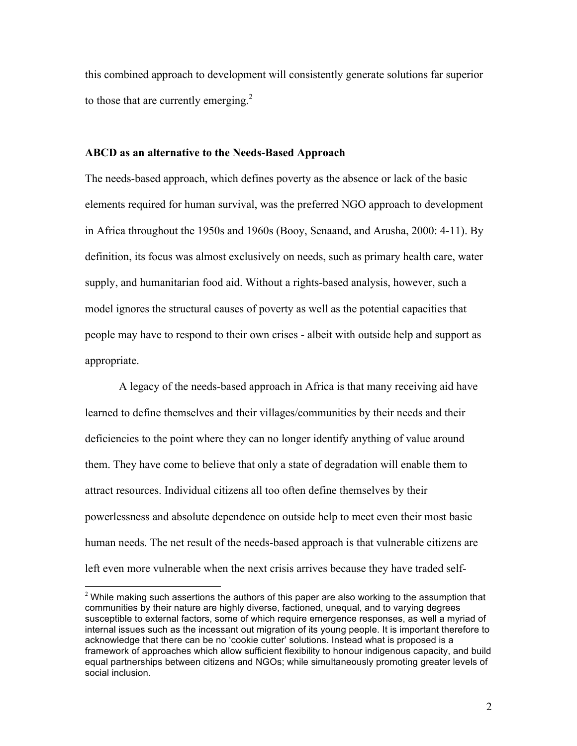this combined approach to development will consistently generate solutions far superior to those that are currently emerging. $2$ 

#### ABCD as an alternative to the Needs-Based Approach

The needs-based approach, which defines poverty as the absence or lack of the basic elements required for human survival, was the preferred NGO approach to development in Africa throughout the 1950s and 1960s (Booy, Senaand, and Arusha, 2000: 4-11). By definition, its focus was almost exclusively on needs, such as primary health care, water supply, and humanitarian food aid. Without a rights-based analysis, however, such a model ignores the structural causes of poverty as well as the potential capacities that people may have to respond to their own crises - albeit with outside help and support as appropriate.

A legacy of the needs-based approach in Africa is that many receiving aid have learned to define themselves and their villages/communities by their needs and their deficiencies to the point where they can no longer identify anything of value around them. They have come to believe that only a state of degradation will enable them to attract resources. Individual citizens all too often define themselves by their powerlessness and absolute dependence on outside help to meet even their most basic human needs. The net result of the needs-based approach is that vulnerable citizens are left even more vulnerable when the next crisis arrives because they have traded self-

 $2$  While making such assertions the authors of this paper are also working to the assumption that communities by their nature are highly diverse, factioned, unequal, and to varying degrees susceptible to external factors, some of which require emergence responses, as well a myriad of internal issues such as the incessant out migration of its young people. It is important therefore to acknowledge that there can be no 'cookie cutter' solutions. Instead what is proposed is a framework of approaches which allow sufficient flexibility to honour indigenous capacity, and build equal partnerships between citizens and NGOs; while simultaneously promoting greater levels of social inclusion.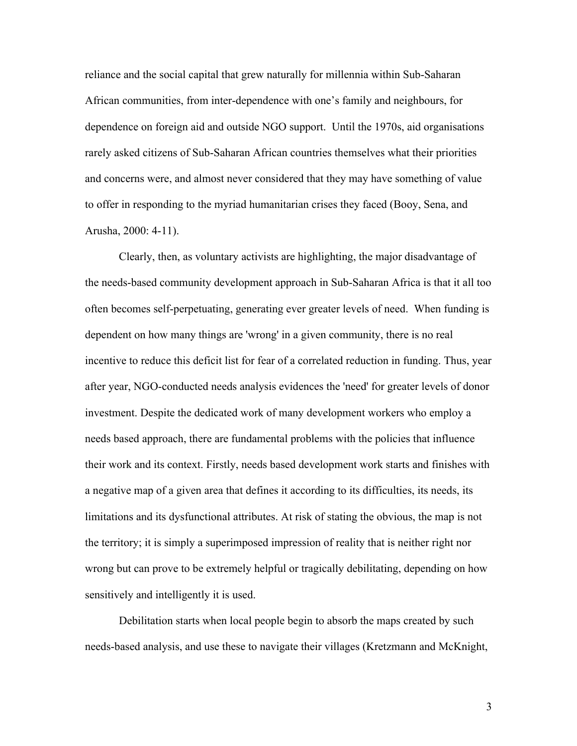reliance and the social capital that grew naturally for millennia within Sub-Saharan African communities, from inter-dependence with one's family and neighbours, for dependence on foreign aid and outside NGO support. Until the 1970s, aid organisations rarely asked citizens of Sub-Saharan African countries themselves what their priorities and concerns were, and almost never considered that they may have something of value to offer in responding to the myriad humanitarian crises they faced (Booy, Sena, and Arusha, 2000: 4-11).

Clearly, then, as voluntary activists are highlighting, the major disadvantage of the needs-based community development approach in Sub-Saharan Africa is that it all too often becomes self-perpetuating, generating ever greater levels of need. When funding is dependent on how many things are 'wrong' in a given community, there is no real incentive to reduce this deficit list for fear of a correlated reduction in funding. Thus, year after year, NGO-conducted needs analysis evidences the 'need' for greater levels of donor investment. Despite the dedicated work of many development workers who employ a needs based approach, there are fundamental problems with the policies that influence their work and its context. Firstly, needs based development work starts and finishes with a negative map of a given area that defines it according to its difficulties, its needs, its limitations and its dysfunctional attributes. At risk of stating the obvious, the map is not the territory; it is simply a superimposed impression of reality that is neither right nor wrong but can prove to be extremely helpful or tragically debilitating, depending on how sensitively and intelligently it is used.

Debilitation starts when local people begin to absorb the maps created by such needs-based analysis, and use these to navigate their villages (Kretzmann and McKnight,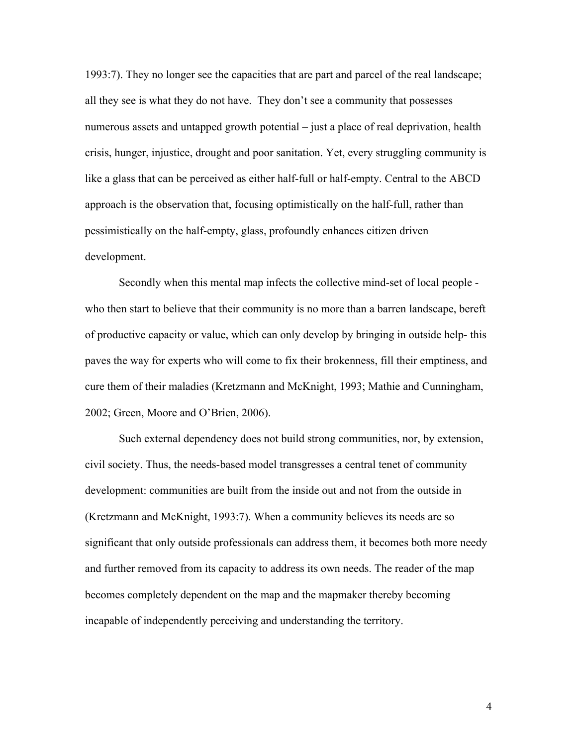1993:7). They no longer see the capacities that are part and parcel of the real landscape; all they see is what they do not have. They don't see a community that possesses numerous assets and untapped growth potential – just a place of real deprivation, health crisis, hunger, injustice, drought and poor sanitation. Yet, every struggling community is like a glass that can be perceived as either half-full or half-empty. Central to the ABCD approach is the observation that, focusing optimistically on the half-full, rather than pessimistically on the half-empty, glass, profoundly enhances citizen driven development.

Secondly when this mental map infects the collective mind-set of local people who then start to believe that their community is no more than a barren landscape, bereft of productive capacity or value, which can only develop by bringing in outside help- this paves the way for experts who will come to fix their brokenness, fill their emptiness, and cure them of their maladies (Kretzmann and McKnight, 1993; Mathie and Cunningham, 2002; Green, Moore and O'Brien, 2006).

Such external dependency does not build strong communities, nor, by extension, civil society. Thus, the needs-based model transgresses a central tenet of community development: communities are built from the inside out and not from the outside in (Kretzmann and McKnight, 1993:7). When a community believes its needs are so significant that only outside professionals can address them, it becomes both more needy and further removed from its capacity to address its own needs. The reader of the map becomes completely dependent on the map and the mapmaker thereby becoming incapable of independently perceiving and understanding the territory.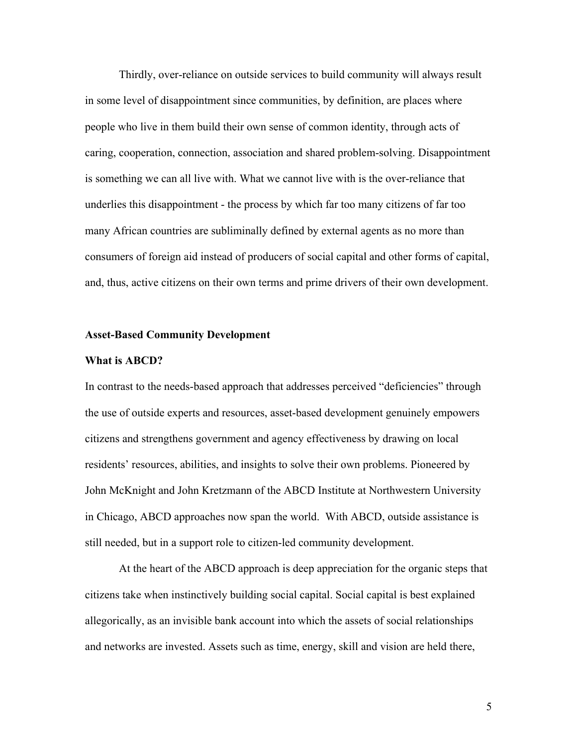Thirdly, over-reliance on outside services to build community will always result in some level of disappointment since communities, by definition, are places where people who live in them build their own sense of common identity, through acts of caring, cooperation, connection, association and shared problem-solving. Disappointment is something we can all live with. What we cannot live with is the over-reliance that underlies this disappointment - the process by which far too many citizens of far too many African countries are subliminally defined by external agents as no more than consumers of foreign aid instead of producers of social capital and other forms of capital, and, thus, active citizens on their own terms and prime drivers of their own development.

#### Asset-Based Community Development

#### What is ABCD?

In contrast to the needs-based approach that addresses perceived "deficiencies" through the use of outside experts and resources, asset-based development genuinely empowers citizens and strengthens government and agency effectiveness by drawing on local residents' resources, abilities, and insights to solve their own problems. Pioneered by John McKnight and John Kretzmann of the ABCD Institute at Northwestern University in Chicago, ABCD approaches now span the world. With ABCD, outside assistance is still needed, but in a support role to citizen-led community development.

At the heart of the ABCD approach is deep appreciation for the organic steps that citizens take when instinctively building social capital. Social capital is best explained allegorically, as an invisible bank account into which the assets of social relationships and networks are invested. Assets such as time, energy, skill and vision are held there,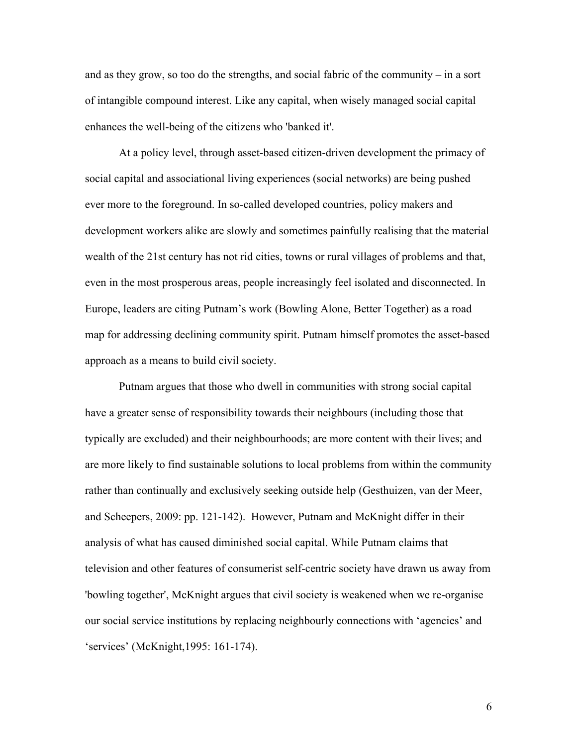and as they grow, so too do the strengths, and social fabric of the community – in a sort of intangible compound interest. Like any capital, when wisely managed social capital enhances the well-being of the citizens who 'banked it'.

At a policy level, through asset-based citizen-driven development the primacy of social capital and associational living experiences (social networks) are being pushed ever more to the foreground. In so-called developed countries, policy makers and development workers alike are slowly and sometimes painfully realising that the material wealth of the 21st century has not rid cities, towns or rural villages of problems and that, even in the most prosperous areas, people increasingly feel isolated and disconnected. In Europe, leaders are citing Putnam's work (Bowling Alone, Better Together) as a road map for addressing declining community spirit. Putnam himself promotes the asset-based approach as a means to build civil society.

Putnam argues that those who dwell in communities with strong social capital have a greater sense of responsibility towards their neighbours (including those that typically are excluded) and their neighbourhoods; are more content with their lives; and are more likely to find sustainable solutions to local problems from within the community rather than continually and exclusively seeking outside help (Gesthuizen, van der Meer, and Scheepers, 2009: pp. 121-142). However, Putnam and McKnight differ in their analysis of what has caused diminished social capital. While Putnam claims that television and other features of consumerist self-centric society have drawn us away from 'bowling together', McKnight argues that civil society is weakened when we re-organise our social service institutions by replacing neighbourly connections with 'agencies' and 'services' (McKnight,1995: 161-174).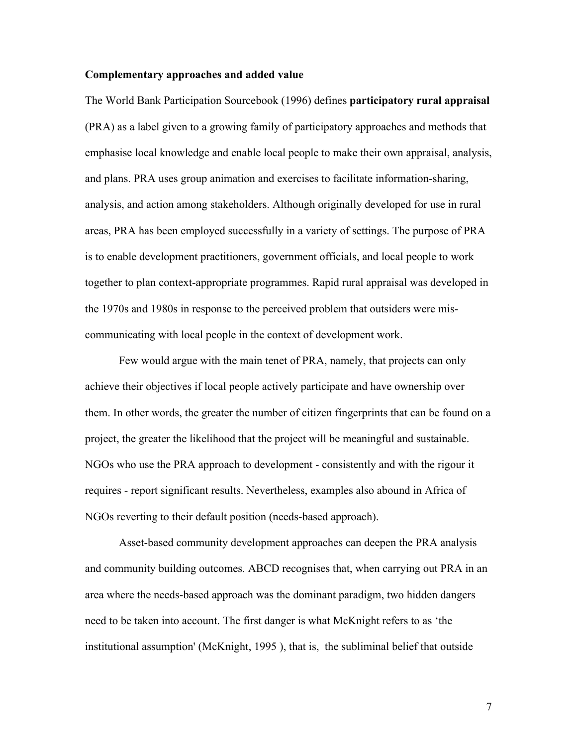### Complementary approaches and added value

The World Bank Participation Sourcebook (1996) defines participatory rural appraisal (PRA) as a label given to a growing family of participatory approaches and methods that emphasise local knowledge and enable local people to make their own appraisal, analysis, and plans. PRA uses group animation and exercises to facilitate information-sharing, analysis, and action among stakeholders. Although originally developed for use in rural areas, PRA has been employed successfully in a variety of settings. The purpose of PRA is to enable development practitioners, government officials, and local people to work together to plan context-appropriate programmes. Rapid rural appraisal was developed in the 1970s and 1980s in response to the perceived problem that outsiders were miscommunicating with local people in the context of development work.

Few would argue with the main tenet of PRA, namely, that projects can only achieve their objectives if local people actively participate and have ownership over them. In other words, the greater the number of citizen fingerprints that can be found on a project, the greater the likelihood that the project will be meaningful and sustainable. NGOs who use the PRA approach to development - consistently and with the rigour it requires - report significant results. Nevertheless, examples also abound in Africa of NGOs reverting to their default position (needs-based approach).

Asset-based community development approaches can deepen the PRA analysis and community building outcomes. ABCD recognises that, when carrying out PRA in an area where the needs-based approach was the dominant paradigm, two hidden dangers need to be taken into account. The first danger is what McKnight refers to as 'the institutional assumption' (McKnight, 1995 ), that is, the subliminal belief that outside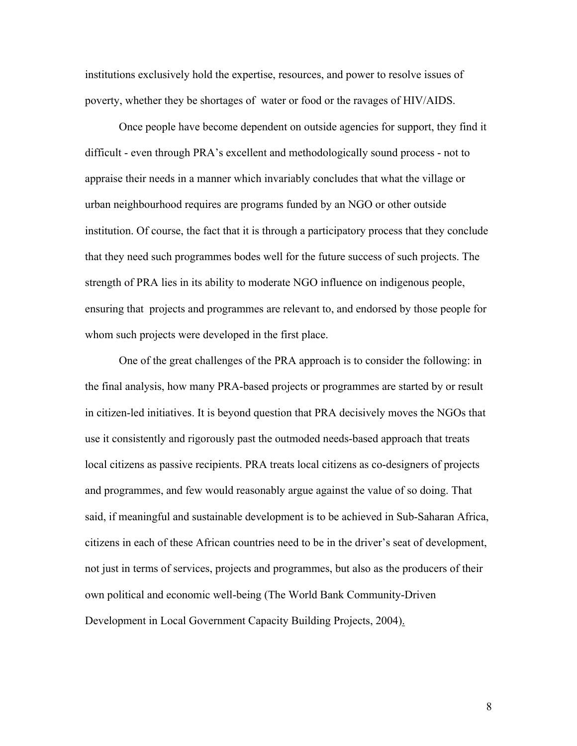institutions exclusively hold the expertise, resources, and power to resolve issues of poverty, whether they be shortages of water or food or the ravages of HIV/AIDS.

Once people have become dependent on outside agencies for support, they find it difficult - even through PRA's excellent and methodologically sound process - not to appraise their needs in a manner which invariably concludes that what the village or urban neighbourhood requires are programs funded by an NGO or other outside institution. Of course, the fact that it is through a participatory process that they conclude that they need such programmes bodes well for the future success of such projects. The strength of PRA lies in its ability to moderate NGO influence on indigenous people, ensuring that projects and programmes are relevant to, and endorsed by those people for whom such projects were developed in the first place.

One of the great challenges of the PRA approach is to consider the following: in the final analysis, how many PRA-based projects or programmes are started by or result in citizen-led initiatives. It is beyond question that PRA decisively moves the NGOs that use it consistently and rigorously past the outmoded needs-based approach that treats local citizens as passive recipients. PRA treats local citizens as co-designers of projects and programmes, and few would reasonably argue against the value of so doing. That said, if meaningful and sustainable development is to be achieved in Sub-Saharan Africa, citizens in each of these African countries need to be in the driver's seat of development, not just in terms of services, projects and programmes, but also as the producers of their own political and economic well-being (The World Bank Community-Driven Development in Local Government Capacity Building Projects, 2004).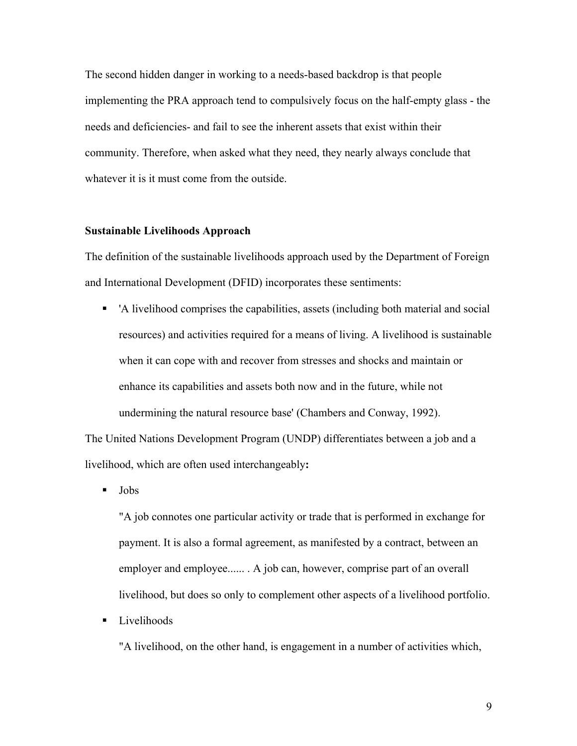The second hidden danger in working to a needs-based backdrop is that people implementing the PRA approach tend to compulsively focus on the half-empty glass - the needs and deficiencies- and fail to see the inherent assets that exist within their community. Therefore, when asked what they need, they nearly always conclude that whatever it is it must come from the outside.

#### Sustainable Livelihoods Approach

The definition of the sustainable livelihoods approach used by the Department of Foreign and International Development (DFID) incorporates these sentiments:

 'A livelihood comprises the capabilities, assets (including both material and social resources) and activities required for a means of living. A livelihood is sustainable when it can cope with and recover from stresses and shocks and maintain or enhance its capabilities and assets both now and in the future, while not undermining the natural resource base' (Chambers and Conway, 1992).

The United Nations Development Program (UNDP) differentiates between a job and a livelihood, which are often used interchangeably:

Jobs

"A job connotes one particular activity or trade that is performed in exchange for payment. It is also a formal agreement, as manifested by a contract, between an employer and employee...... . A job can, however, comprise part of an overall livelihood, but does so only to complement other aspects of a livelihood portfolio.

**Livelihoods** 

"A livelihood, on the other hand, is engagement in a number of activities which,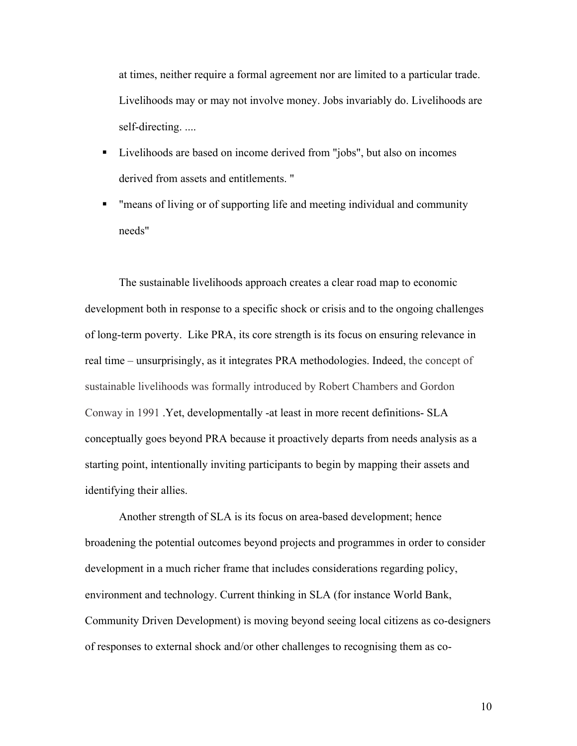at times, neither require a formal agreement nor are limited to a particular trade. Livelihoods may or may not involve money. Jobs invariably do. Livelihoods are self-directing. ....

- Livelihoods are based on income derived from "jobs", but also on incomes derived from assets and entitlements. "
- "means of living or of supporting life and meeting individual and community needs"

The sustainable livelihoods approach creates a clear road map to economic development both in response to a specific shock or crisis and to the ongoing challenges of long-term poverty. Like PRA, its core strength is its focus on ensuring relevance in real time – unsurprisingly, as it integrates PRA methodologies. Indeed, the concept of sustainable livelihoods was formally introduced by Robert Chambers and Gordon Conway in 1991 .Yet, developmentally -at least in more recent definitions- SLA conceptually goes beyond PRA because it proactively departs from needs analysis as a starting point, intentionally inviting participants to begin by mapping their assets and identifying their allies.

Another strength of SLA is its focus on area-based development; hence broadening the potential outcomes beyond projects and programmes in order to consider development in a much richer frame that includes considerations regarding policy, environment and technology. Current thinking in SLA (for instance World Bank, Community Driven Development) is moving beyond seeing local citizens as co-designers of responses to external shock and/or other challenges to recognising them as co-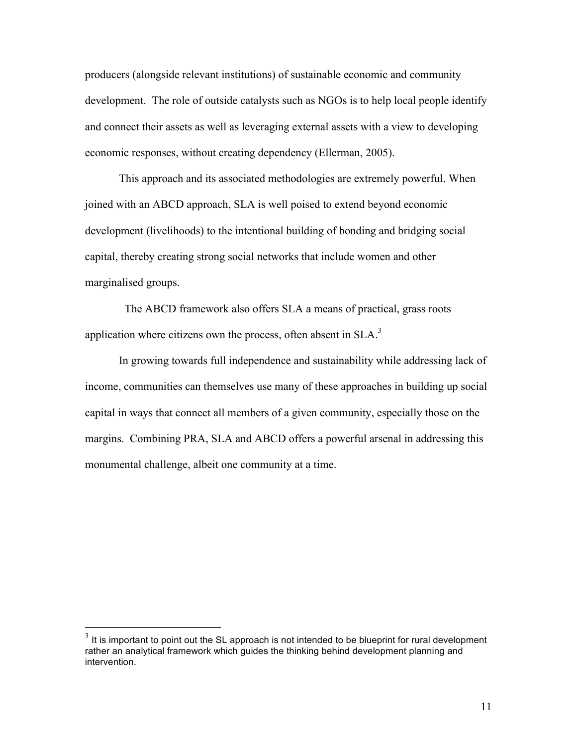producers (alongside relevant institutions) of sustainable economic and community development. The role of outside catalysts such as NGOs is to help local people identify and connect their assets as well as leveraging external assets with a view to developing economic responses, without creating dependency (Ellerman, 2005).

This approach and its associated methodologies are extremely powerful. When joined with an ABCD approach, SLA is well poised to extend beyond economic development (livelihoods) to the intentional building of bonding and bridging social capital, thereby creating strong social networks that include women and other marginalised groups.

 The ABCD framework also offers SLA a means of practical, grass roots application where citizens own the process, often absent in  $SLA$ <sup>3</sup>

In growing towards full independence and sustainability while addressing lack of income, communities can themselves use many of these approaches in building up social capital in ways that connect all members of a given community, especially those on the margins. Combining PRA, SLA and ABCD offers a powerful arsenal in addressing this monumental challenge, albeit one community at a time.

 $3$  It is important to point out the SL approach is not intended to be blueprint for rural development rather an analytical framework which guides the thinking behind development planning and intervention.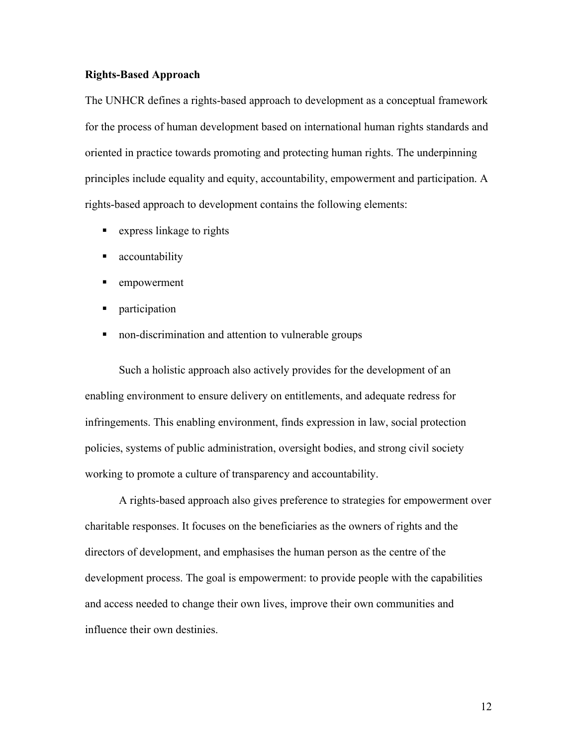#### Rights-Based Approach

The UNHCR defines a rights-based approach to development as a conceptual framework for the process of human development based on international human rights standards and oriented in practice towards promoting and protecting human rights. The underpinning principles include equality and equity, accountability, empowerment and participation. A rights-based approach to development contains the following elements:

- **EXPRESS** linkage to rights
- **accountability**
- **EXECUTE:** empowerment
- **n** participation
- non-discrimination and attention to vulnerable groups

Such a holistic approach also actively provides for the development of an enabling environment to ensure delivery on entitlements, and adequate redress for infringements. This enabling environment, finds expression in law, social protection policies, systems of public administration, oversight bodies, and strong civil society working to promote a culture of transparency and accountability.

A rights-based approach also gives preference to strategies for empowerment over charitable responses. It focuses on the beneficiaries as the owners of rights and the directors of development, and emphasises the human person as the centre of the development process. The goal is empowerment: to provide people with the capabilities and access needed to change their own lives, improve their own communities and influence their own destinies.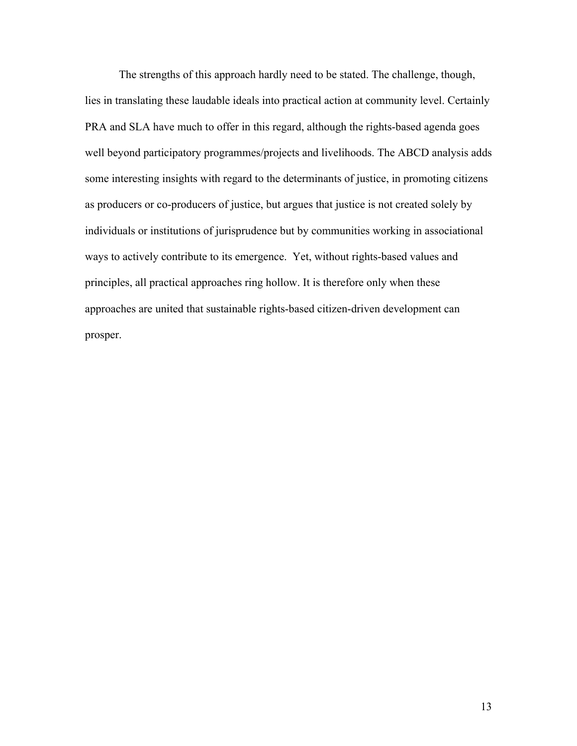The strengths of this approach hardly need to be stated. The challenge, though, lies in translating these laudable ideals into practical action at community level. Certainly PRA and SLA have much to offer in this regard, although the rights-based agenda goes well beyond participatory programmes/projects and livelihoods. The ABCD analysis adds some interesting insights with regard to the determinants of justice, in promoting citizens as producers or co-producers of justice, but argues that justice is not created solely by individuals or institutions of jurisprudence but by communities working in associational ways to actively contribute to its emergence. Yet, without rights-based values and principles, all practical approaches ring hollow. It is therefore only when these approaches are united that sustainable rights-based citizen-driven development can prosper.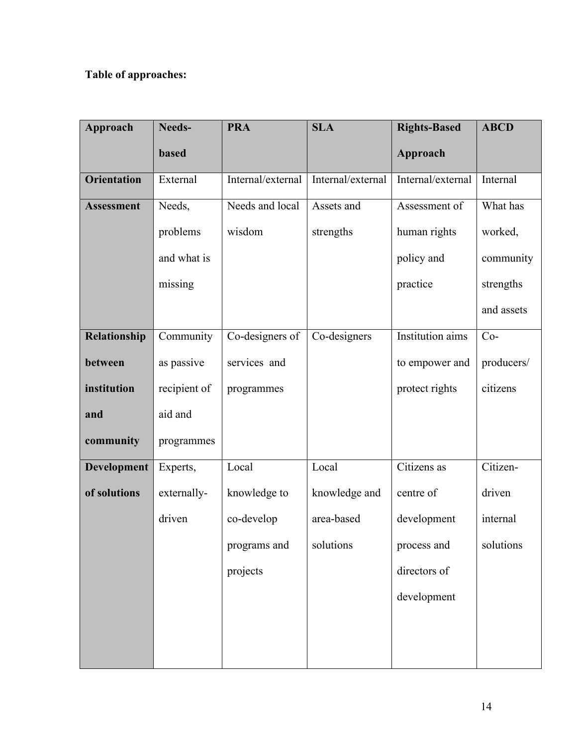# Table of approaches:

| Approach           | Needs-       | <b>PRA</b>        | <b>SLA</b>        | <b>Rights-Based</b> | <b>ABCD</b> |
|--------------------|--------------|-------------------|-------------------|---------------------|-------------|
|                    | <b>based</b> |                   |                   | Approach            |             |
| <b>Orientation</b> | External     | Internal/external | Internal/external | Internal/external   | Internal    |
| <b>Assessment</b>  | Needs,       | Needs and local   | Assets and        | Assessment of       | What has    |
|                    | problems     | wisdom            | strengths         | human rights        | worked,     |
|                    | and what is  |                   |                   | policy and          | community   |
|                    | missing      |                   |                   | practice            | strengths   |
|                    |              |                   |                   |                     | and assets  |
| Relationship       | Community    | Co-designers of   | Co-designers      | Institution aims    | $Co-$       |
| between            | as passive   | services and      |                   | to empower and      | producers/  |
| institution        | recipient of | programmes        |                   | protect rights      | citizens    |
| and                | aid and      |                   |                   |                     |             |
| community          | programmes   |                   |                   |                     |             |
| <b>Development</b> | Experts,     | Local             | Local             | Citizens as         | Citizen-    |
| of solutions       | externally-  | knowledge to      | knowledge and     | centre of           | driven      |
|                    | driven       | co-develop        | area-based        | development         | internal    |
|                    |              | programs and      | solutions         | process and         | solutions   |
|                    |              | projects          |                   | directors of        |             |
|                    |              |                   |                   | development         |             |
|                    |              |                   |                   |                     |             |
|                    |              |                   |                   |                     |             |
|                    |              |                   |                   |                     |             |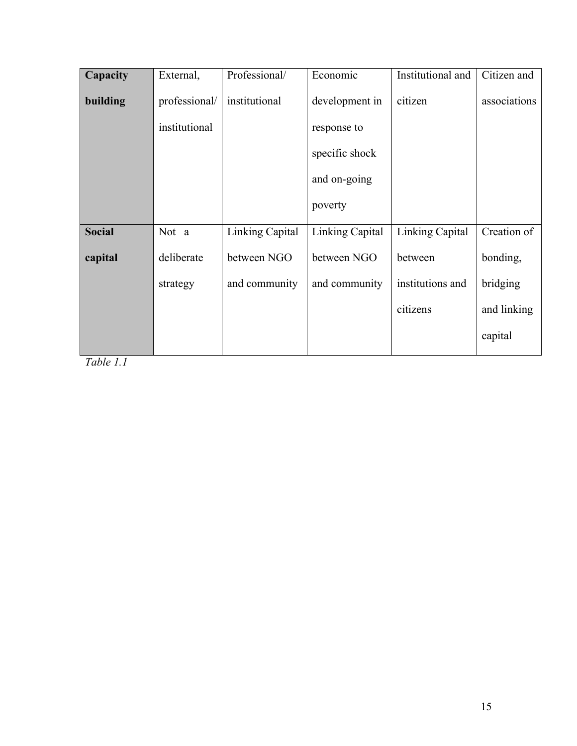| Capacity      | External,     | Professional/   | Economic        | Institutional and      | Citizen and  |
|---------------|---------------|-----------------|-----------------|------------------------|--------------|
| building      | professional/ | institutional   | development in  | citizen                | associations |
|               | institutional |                 | response to     |                        |              |
|               |               |                 | specific shock  |                        |              |
|               |               |                 | and on-going    |                        |              |
|               |               |                 | poverty         |                        |              |
| <b>Social</b> | Not a         | Linking Capital | Linking Capital | <b>Linking Capital</b> | Creation of  |
| capital       | deliberate    | between NGO     | between NGO     | between                | bonding,     |
|               | strategy      | and community   | and community   | institutions and       | bridging     |
|               |               |                 |                 | citizens               | and linking  |
|               |               |                 |                 |                        | capital      |
|               |               |                 |                 |                        |              |

*Table 1.1*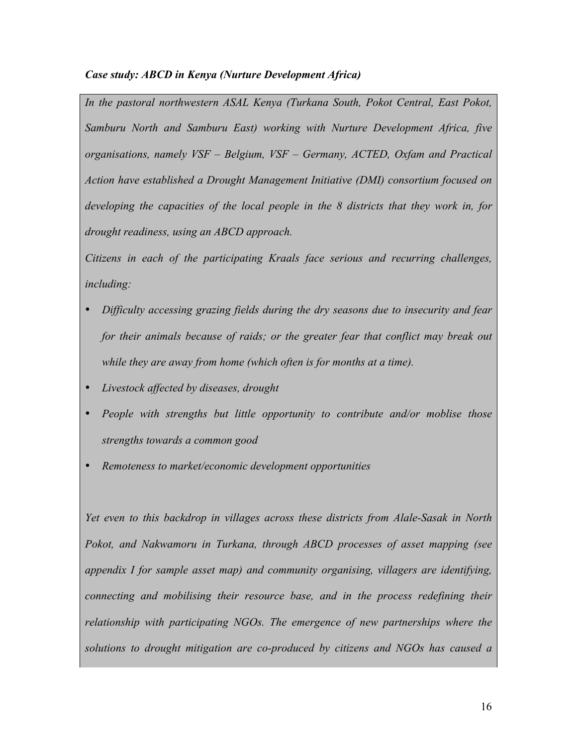# *Case study: ABCD in Kenya (Nurture Development Africa)*

*In the pastoral northwestern ASAL Kenya (Turkana South, Pokot Central, East Pokot, Samburu North and Samburu East) working with Nurture Development Africa, five organisations, namely VSF – Belgium, VSF – Germany, ACTED, Oxfam and Practical Action have established a Drought Management Initiative (DMI) consortium focused on developing the capacities of the local people in the 8 districts that they work in, for drought readiness, using an ABCD approach.* 

*Citizens in each of the participating Kraals face serious and recurring challenges, including:*

- *Difficulty accessing grazing fields during the dry seasons due to insecurity and fear for their animals because of raids; or the greater fear that conflict may break out while they are away from home (which often is for months at a time).*
- *Livestock affected by diseases, drought*
- *People with strengths but little opportunity to contribute and/or moblise those strengths towards a common good*
- *Remoteness to market/economic development opportunities*

*Yet even to this backdrop in villages across these districts from Alale-Sasak in North Pokot, and Nakwamoru in Turkana, through ABCD processes of asset mapping (see appendix I for sample asset map) and community organising, villagers are identifying, connecting and mobilising their resource base, and in the process redefining their relationship with participating NGOs. The emergence of new partnerships where the solutions to drought mitigation are co-produced by citizens and NGOs has caused a*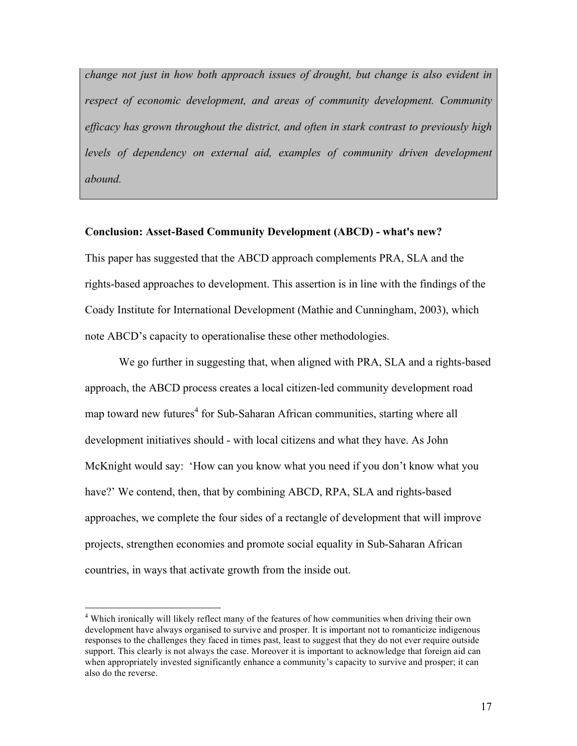*change not just in how both approach issues of drought, but change is also evident in respect of economic development, and areas of community development. Community efficacy has grown throughout the district, and often in stark contrast to previously high*  levels of dependency on external aid, examples of community driven development *abound.*

#### Conclusion: Asset-Based Community Development (ABCD) - what's new?

This paper has suggested that the ABCD approach complements PRA, SLA and the rights-based approaches to development. This assertion is in line with the findings of the Coady Institute for International Development (Mathie and Cunningham, 2003), which note ABCD's capacity to operationalise these other methodologies.

We go further in suggesting that, when aligned with PRA, SLA and a rights-based approach, the ABCD process creates a local citizen-led community development road map toward new futures<sup>4</sup> for Sub-Saharan African communities, starting where all development initiatives should - with local citizens and what they have. As John McKnight would say: 'How can you know what you need if you don't know what you have?' We contend, then, that by combining ABCD, RPA, SLA and rights-based approaches, we complete the four sides of a rectangle of development that will improve projects, strengthen economies and promote social equality in Sub-Saharan African countries, in ways that activate growth from the inside out.

 $\frac{1}{4}$ <sup>4</sup> Which ironically will likely reflect many of the features of how communities when driving their own development have always organised to survive and prosper. It is important not to romanticize indigenous responses to the challenges they faced in times past, least to suggest that they do not ever require outside support. This clearly is not always the case. Moreover it is important to acknowledge that foreign aid can when appropriately invested significantly enhance a community's capacity to survive and prosper; it can also do the reverse.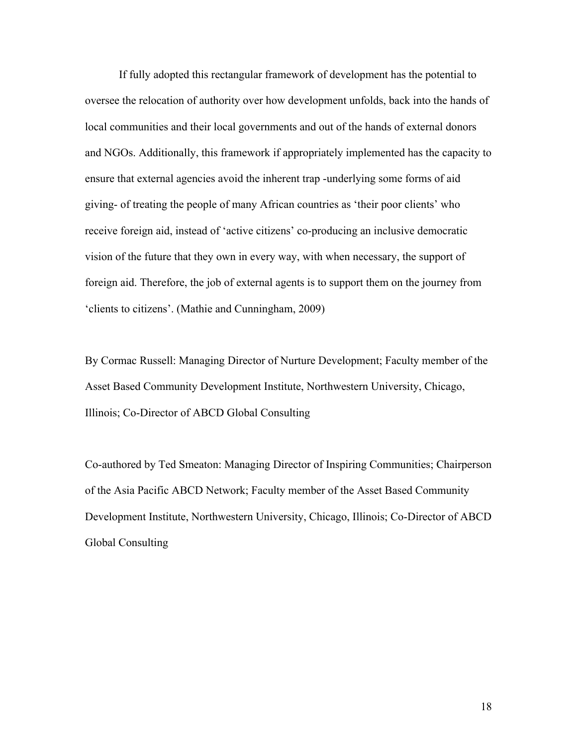If fully adopted this rectangular framework of development has the potential to oversee the relocation of authority over how development unfolds, back into the hands of local communities and their local governments and out of the hands of external donors and NGOs. Additionally, this framework if appropriately implemented has the capacity to ensure that external agencies avoid the inherent trap -underlying some forms of aid giving- of treating the people of many African countries as 'their poor clients' who receive foreign aid, instead of 'active citizens' co-producing an inclusive democratic vision of the future that they own in every way, with when necessary, the support of foreign aid. Therefore, the job of external agents is to support them on the journey from 'clients to citizens'. (Mathie and Cunningham, 2009)

By Cormac Russell: Managing Director of Nurture Development; Faculty member of the Asset Based Community Development Institute, Northwestern University, Chicago, Illinois; Co-Director of ABCD Global Consulting

Co-authored by Ted Smeaton: Managing Director of Inspiring Communities; Chairperson of the Asia Pacific ABCD Network; Faculty member of the Asset Based Community Development Institute, Northwestern University, Chicago, Illinois; Co-Director of ABCD Global Consulting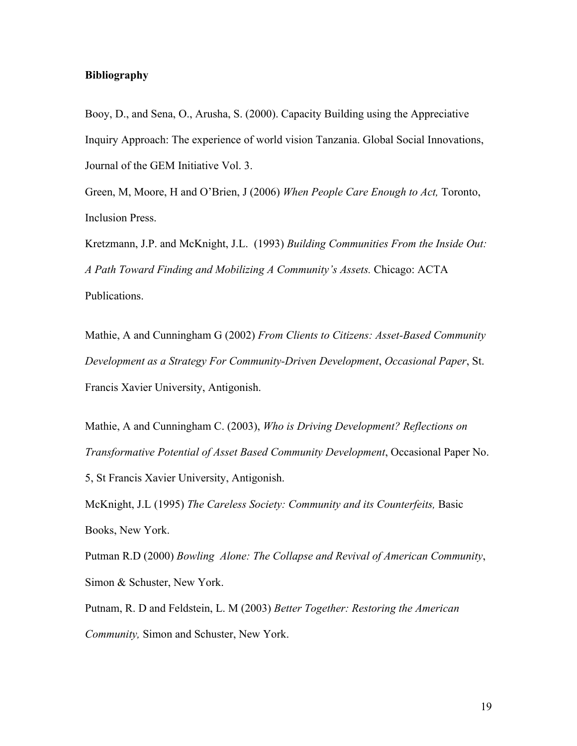#### Bibliography

Booy, D., and Sena, O., Arusha, S. (2000). Capacity Building using the Appreciative Inquiry Approach: The experience of world vision Tanzania. Global Social Innovations, Journal of the GEM Initiative Vol. 3.

Green, M, Moore, H and O'Brien, J (2006) *When People Care Enough to Act,* Toronto, Inclusion Press.

Kretzmann, J.P. and McKnight, J.L. (1993) *Building Communities From the Inside Out: A Path Toward Finding and Mobilizing A Community's Assets.* Chicago: ACTA Publications.

Mathie, A and Cunningham G (2002) *From Clients to Citizens: Asset-Based Community Development as a Strategy For Community-Driven Development*, *Occasional Paper*, St. Francis Xavier University, Antigonish.

Mathie, A and Cunningham C. (2003), *Who is Driving Development? Reflections on Transformative Potential of Asset Based Community Development*, Occasional Paper No.

5, St Francis Xavier University, Antigonish.

McKnight, J.L (1995) *The Careless Society: Community and its Counterfeits,* Basic Books, New York.

Putman R.D (2000) *Bowling Alone: The Collapse and Revival of American Community*, Simon & Schuster, New York.

Putnam, R. D and Feldstein, L. M (2003) *Better Together: Restoring the American Community,* Simon and Schuster, New York.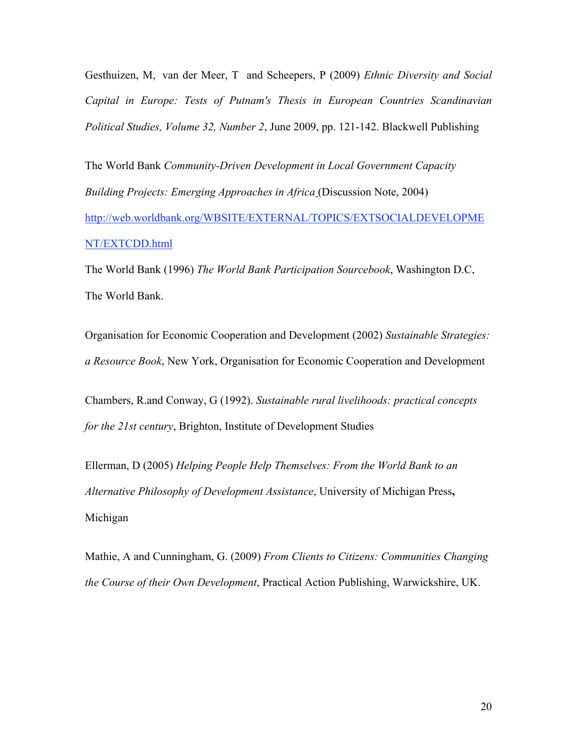Gesthuizen, M, van der Meer, T and Scheepers, P (2009) *Ethnic Diversity and Social Capital in Europe: Tests of Putnam's Thesis in European Countries Scandinavian Political Studies, Volume 32, Number 2*, June 2009, pp. 121-142. Blackwell Publishing

The World Bank *Community-Driven Development in Local Government Capacity Building Projects: Emerging Approaches in Africa* (Discussion Note, 2004) http://web.worldbank.org/WBSITE/EXTERNAL/TOPICS/EXTSOCIALDEVELOPME NT/EXTCDD.html

The World Bank (1996) *The World Bank Participation Sourcebook*, Washington D.C, The World Bank.

Organisation for Economic Cooperation and Development (2002) *Sustainable Strategies: a Resource Book*, New York, Organisation for Economic Cooperation and Development

Chambers, R.and Conway, G (1992). *Sustainable rural livelihoods: practical concepts for the 21st century*, Brighton, Institute of Development Studies

Ellerman, D (2005) *Helping People Help Themselves: From the World Bank to an Alternative Philosophy of Development Assistance*, University of Michigan Press, Michigan

Mathie, A and Cunningham, G. (2009) *From Clients to Citizens: Communities Changing the Course of their Own Development*, Practical Action Publishing, Warwickshire, UK.